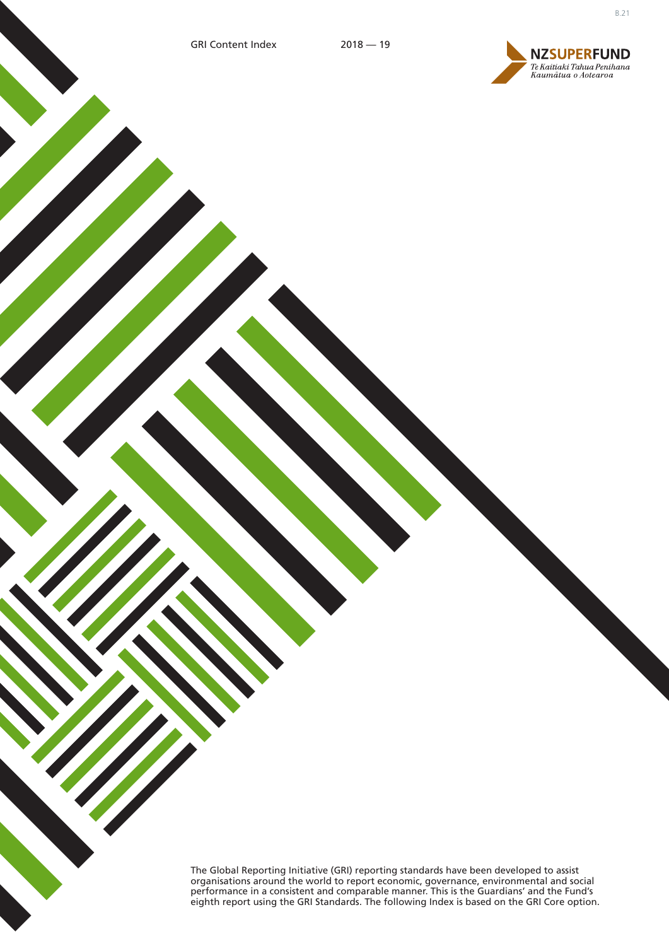

The Global Reporting Initiative (GRI) reporting standards have been developed to assist organisations around the world to report economic, governance, environmental and social performance in a consistent and comparable manner. This is the Guardians' and the Fund's eighth report using the GRI Standards. The following Index is based on the GRI Core option.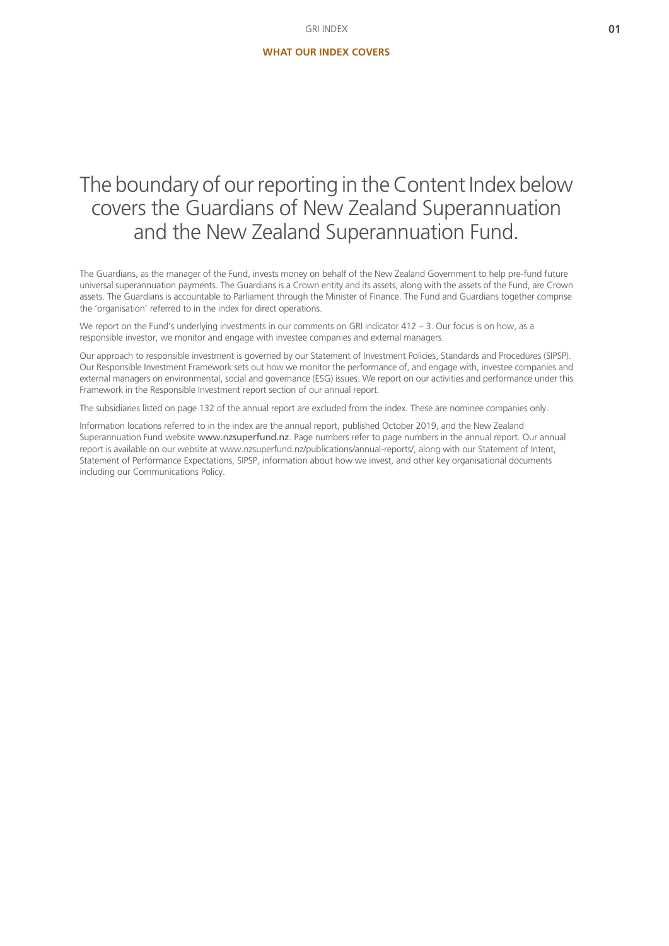# The boundary of our reporting in the Content Index below covers the Guardians of New Zealand Superannuation and the New Zealand Superannuation Fund.

The Guardians, as the manager of the Fund, invests money on behalf of the New Zealand Government to help pre-fund future universal superannuation payments. The Guardians is a Crown entity and its assets, along with the assets of the Fund, are Crown assets. The Guardians is accountable to Parliament through the Minister of Finance. The Fund and Guardians together comprise the 'organisation' referred to in the index for direct operations.

We report on the Fund's underlying investments in our comments on GRI indicator 412 – 3. Our focus is on how, as a responsible investor, we monitor and engage with investee companies and external managers.

Our approach to responsible investment is governed by our Statement of Investment Policies, Standards and Procedures (SIPSP). Our Responsible Investment Framework sets out how we monitor the performance of, and engage with, investee companies and external managers on environmental, social and governance (ESG) issues. We report on our activities and performance under this Framework in the Responsible Investment report section of our annual report.

The subsidiaries listed on page 132 of the annual report are excluded from the index. These are nominee companies only.

Information locations referred to in the index are the annual report, published October 2019, and the New Zealand Superannuation Fund website [www.nzsuperfund.nz](https://www.nzsuperfund.co.nz). Page numbers refer to page numbers in the annual report. Our annual report is available on our website at www.nzsuperfund.nz/publications/annual-reports/, along with our Statement of Intent, Statement of Performance Expectations, SIPSP, information about how we invest, and other key organisational documents including our Communications Policy.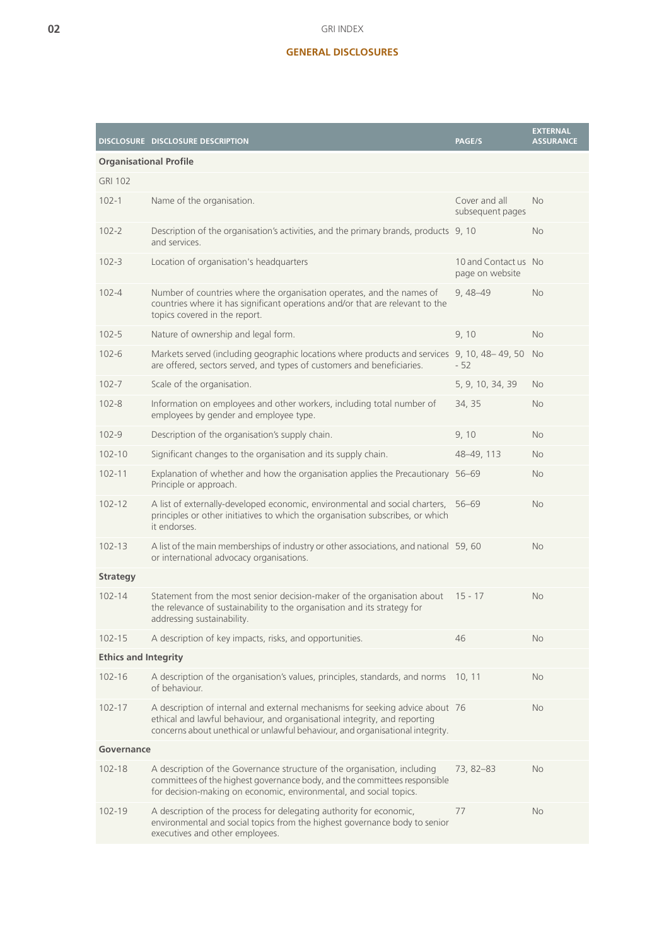## **GENERAL DISCLOSURES**

|                               | DISCLOSURE DISCLOSURE DESCRIPTION                                                                                                                                                                                                           | PAGE/S                                  | <b>EXTERNAL</b><br><b>ASSURANCE</b> |
|-------------------------------|---------------------------------------------------------------------------------------------------------------------------------------------------------------------------------------------------------------------------------------------|-----------------------------------------|-------------------------------------|
| <b>Organisational Profile</b> |                                                                                                                                                                                                                                             |                                         |                                     |
| <b>GRI 102</b>                |                                                                                                                                                                                                                                             |                                         |                                     |
| $102 - 1$                     | Name of the organisation.                                                                                                                                                                                                                   | Cover and all<br>subsequent pages       | <b>No</b>                           |
| $102 - 2$                     | Description of the organisation's activities, and the primary brands, products 9, 10<br>and services.                                                                                                                                       |                                         | <b>No</b>                           |
| $102 - 3$                     | Location of organisation's headquarters                                                                                                                                                                                                     | 10 and Contact us No<br>page on website |                                     |
| $102 - 4$                     | Number of countries where the organisation operates, and the names of<br>countries where it has significant operations and/or that are relevant to the<br>topics covered in the report.                                                     | $9,48 - 49$                             | <b>No</b>                           |
| $102 - 5$                     | Nature of ownership and legal form.                                                                                                                                                                                                         | 9,10                                    | No.                                 |
| $102 - 6$                     | Markets served (including geographic locations where products and services 9, 10, 48-49, 50<br>are offered, sectors served, and types of customers and beneficiaries.                                                                       | $-52$                                   | <b>No</b>                           |
| $102 - 7$                     | Scale of the organisation.                                                                                                                                                                                                                  | 5, 9, 10, 34, 39                        | No                                  |
| $102 - 8$                     | Information on employees and other workers, including total number of<br>employees by gender and employee type.                                                                                                                             | 34, 35                                  | <b>No</b>                           |
| $102 - 9$                     | Description of the organisation's supply chain.                                                                                                                                                                                             | 9,10                                    | <b>No</b>                           |
| $102 - 10$                    | Significant changes to the organisation and its supply chain.                                                                                                                                                                               | 48-49, 113                              | <b>No</b>                           |
| $102 - 11$                    | Explanation of whether and how the organisation applies the Precautionary 56-69<br>Principle or approach.                                                                                                                                   |                                         | <b>No</b>                           |
| $102 - 12$                    | A list of externally-developed economic, environmental and social charters, 56-69<br>principles or other initiatives to which the organisation subscribes, or which<br>it endorses.                                                         |                                         | No                                  |
| $102 - 13$                    | A list of the main memberships of industry or other associations, and national 59, 60<br>or international advocacy organisations.                                                                                                           |                                         | <b>No</b>                           |
| <b>Strategy</b>               |                                                                                                                                                                                                                                             |                                         |                                     |
| $102 - 14$                    | Statement from the most senior decision-maker of the organisation about<br>the relevance of sustainability to the organisation and its strategy for<br>addressing sustainability.                                                           | $15 - 17$                               | <b>No</b>                           |
| $102 - 15$                    | A description of key impacts, risks, and opportunities.                                                                                                                                                                                     | 46                                      | No                                  |
| <b>Ethics and Integrity</b>   |                                                                                                                                                                                                                                             |                                         |                                     |
| $102 - 16$                    | A description of the organisation's values, principles, standards, and norms<br>of behaviour.                                                                                                                                               | 10, 11                                  | No.                                 |
| $102 - 17$                    | A description of internal and external mechanisms for seeking advice about 76<br>ethical and lawful behaviour, and organisational integrity, and reporting<br>concerns about unethical or unlawful behaviour, and organisational integrity. |                                         | No.                                 |
| Governance                    |                                                                                                                                                                                                                                             |                                         |                                     |
| 102-18                        | A description of the Governance structure of the organisation, including<br>committees of the highest governance body, and the committees responsible<br>for decision-making on economic, environmental, and social topics.                 | 73, 82-83                               | No.                                 |
| 102-19                        | A description of the process for delegating authority for economic,<br>environmental and social topics from the highest governance body to senior<br>executives and other employees.                                                        | 77                                      | No.                                 |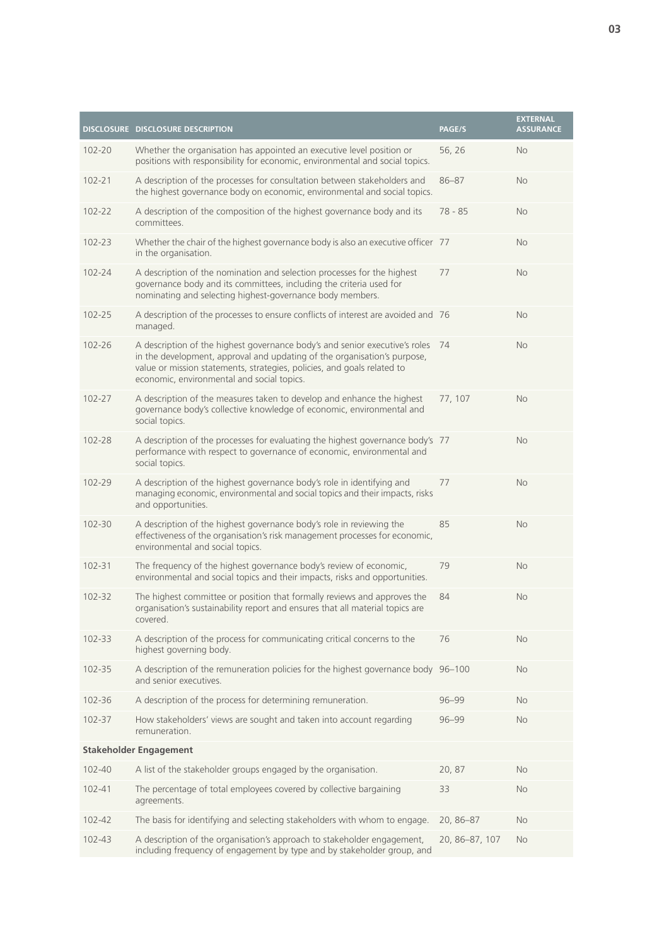|                               | DISCLOSURE DISCLOSURE DESCRIPTION                                                                                                                                                                                                                                                | <b>PAGE/S</b>  | <b>EXTERNAL</b><br><b>ASSURANCE</b> |
|-------------------------------|----------------------------------------------------------------------------------------------------------------------------------------------------------------------------------------------------------------------------------------------------------------------------------|----------------|-------------------------------------|
| 102-20                        | Whether the organisation has appointed an executive level position or<br>positions with responsibility for economic, environmental and social topics.                                                                                                                            | 56, 26         | <b>No</b>                           |
| $102 - 21$                    | A description of the processes for consultation between stakeholders and<br>the highest governance body on economic, environmental and social topics.                                                                                                                            | $86 - 87$      | <b>No</b>                           |
| 102-22                        | A description of the composition of the highest governance body and its<br>committees.                                                                                                                                                                                           | 78 - 85        | <b>No</b>                           |
| $102 - 23$                    | Whether the chair of the highest governance body is also an executive officer 77<br>in the organisation.                                                                                                                                                                         |                | <b>No</b>                           |
| 102-24                        | A description of the nomination and selection processes for the highest<br>governance body and its committees, including the criteria used for<br>nominating and selecting highest-governance body members.                                                                      | 77             | <b>No</b>                           |
| 102-25                        | A description of the processes to ensure conflicts of interest are avoided and 76<br>managed.                                                                                                                                                                                    |                | <b>No</b>                           |
| $102 - 26$                    | A description of the highest governance body's and senior executive's roles<br>in the development, approval and updating of the organisation's purpose,<br>value or mission statements, strategies, policies, and goals related to<br>economic, environmental and social topics. | 74             | <b>No</b>                           |
| 102-27                        | A description of the measures taken to develop and enhance the highest<br>governance body's collective knowledge of economic, environmental and<br>social topics.                                                                                                                | 77, 107        | <b>No</b>                           |
| 102-28                        | A description of the processes for evaluating the highest governance body's 77<br>performance with respect to governance of economic, environmental and<br>social topics.                                                                                                        |                | <b>No</b>                           |
| 102-29                        | A description of the highest governance body's role in identifying and<br>managing economic, environmental and social topics and their impacts, risks<br>and opportunities.                                                                                                      | 77             | No                                  |
| 102-30                        | A description of the highest governance body's role in reviewing the<br>effectiveness of the organisation's risk management processes for economic,<br>environmental and social topics.                                                                                          | 85             | <b>No</b>                           |
| $102 - 31$                    | The frequency of the highest governance body's review of economic,<br>environmental and social topics and their impacts, risks and opportunities.                                                                                                                                | 79             | <b>No</b>                           |
| 102-32                        | The highest committee or position that formally reviews and approves the<br>organisation's sustainability report and ensures that all material topics are<br>covered.                                                                                                            | 84             | <b>No</b>                           |
| $102 - 33$                    | A description of the process for communicating critical concerns to the<br>highest governing body.                                                                                                                                                                               | 76             | <b>No</b>                           |
| 102-35                        | A description of the remuneration policies for the highest governance body 96-100<br>and senior executives.                                                                                                                                                                      |                | <b>No</b>                           |
| 102-36                        | A description of the process for determining remuneration.                                                                                                                                                                                                                       | $96 - 99$      | <b>No</b>                           |
| 102-37                        | How stakeholders' views are sought and taken into account regarding<br>remuneration.                                                                                                                                                                                             | $96 - 99$      | <b>No</b>                           |
| <b>Stakeholder Engagement</b> |                                                                                                                                                                                                                                                                                  |                |                                     |
| 102-40                        | A list of the stakeholder groups engaged by the organisation.                                                                                                                                                                                                                    | 20,87          | <b>No</b>                           |
| 102-41                        | The percentage of total employees covered by collective bargaining<br>agreements.                                                                                                                                                                                                | 33             | <b>No</b>                           |
| 102-42                        | The basis for identifying and selecting stakeholders with whom to engage.                                                                                                                                                                                                        | 20, 86-87      | No                                  |
| $102 - 43$                    | A description of the organisation's approach to stakeholder engagement,<br>including frequency of engagement by type and by stakeholder group, and                                                                                                                               | 20, 86-87, 107 | <b>No</b>                           |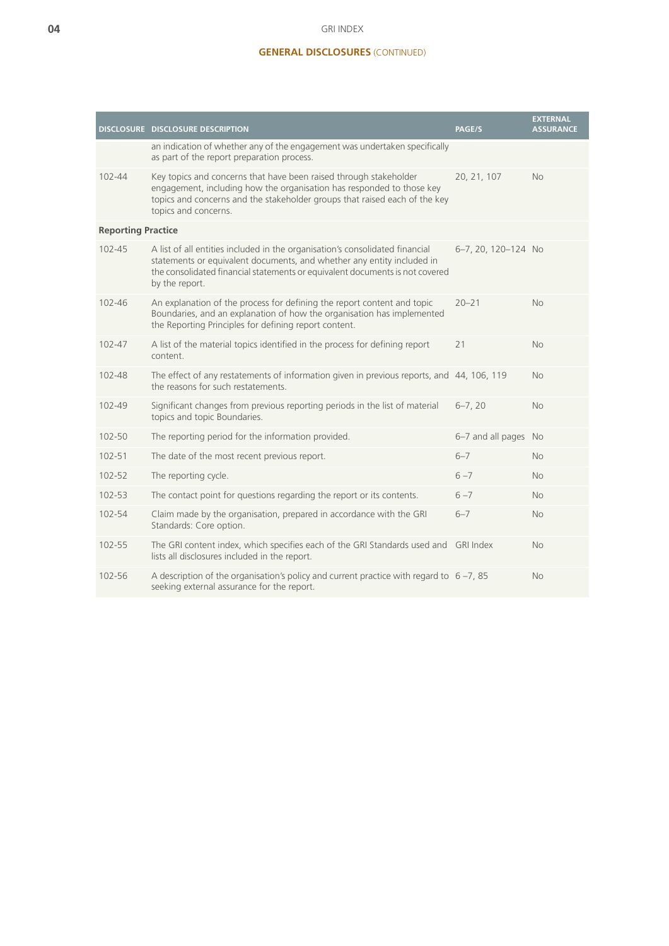### GRI INDEX

## **GENERAL DISCLOSURES** (CONTINUED)

|                           | DISCLOSURE DISCLOSURE DESCRIPTION                                                                                                                                                                                                                        | <b>PAGE/S</b>        | <b>EXTERNAL</b><br><b>ASSURANCE</b> |
|---------------------------|----------------------------------------------------------------------------------------------------------------------------------------------------------------------------------------------------------------------------------------------------------|----------------------|-------------------------------------|
|                           | an indication of whether any of the engagement was undertaken specifically<br>as part of the report preparation process.                                                                                                                                 |                      |                                     |
| $102 - 44$                | Key topics and concerns that have been raised through stakeholder<br>engagement, including how the organisation has responded to those key<br>topics and concerns and the stakeholder groups that raised each of the key<br>topics and concerns.         | 20, 21, 107          | No.                                 |
| <b>Reporting Practice</b> |                                                                                                                                                                                                                                                          |                      |                                     |
| 102-45                    | A list of all entities included in the organisation's consolidated financial<br>statements or equivalent documents, and whether any entity included in<br>the consolidated financial statements or equivalent documents is not covered<br>by the report. | 6-7, 20, 120-124 No  |                                     |
| 102-46                    | An explanation of the process for defining the report content and topic<br>Boundaries, and an explanation of how the organisation has implemented<br>the Reporting Principles for defining report content.                                               | $20 - 21$            | N <sub>o</sub>                      |
| 102-47                    | A list of the material topics identified in the process for defining report<br>content.                                                                                                                                                                  | 21                   | <b>No</b>                           |
| 102-48                    | The effect of any restatements of information given in previous reports, and 44, 106, 119<br>the reasons for such restatements.                                                                                                                          |                      | <b>No</b>                           |
| 102-49                    | Significant changes from previous reporting periods in the list of material<br>topics and topic Boundaries.                                                                                                                                              | $6 - 7, 20$          | <b>No</b>                           |
| 102-50                    | The reporting period for the information provided.                                                                                                                                                                                                       | 6-7 and all pages No |                                     |
| $102 - 51$                | The date of the most recent previous report.                                                                                                                                                                                                             | $6 - 7$              | <b>No</b>                           |
| 102-52                    | The reporting cycle.                                                                                                                                                                                                                                     | $6 - 7$              | <b>No</b>                           |
| 102-53                    | The contact point for questions regarding the report or its contents.                                                                                                                                                                                    | $6 - 7$              | <b>No</b>                           |
| 102-54                    | Claim made by the organisation, prepared in accordance with the GRI<br>Standards: Core option.                                                                                                                                                           | $6 - 7$              | <b>No</b>                           |
| 102-55                    | The GRI content index, which specifies each of the GRI Standards used and GRI Index<br>lists all disclosures included in the report.                                                                                                                     |                      | N <sub>o</sub>                      |
| 102-56                    | A description of the organisation's policy and current practice with regard to $6 - 7$ , 85<br>seeking external assurance for the report.                                                                                                                |                      | <b>No</b>                           |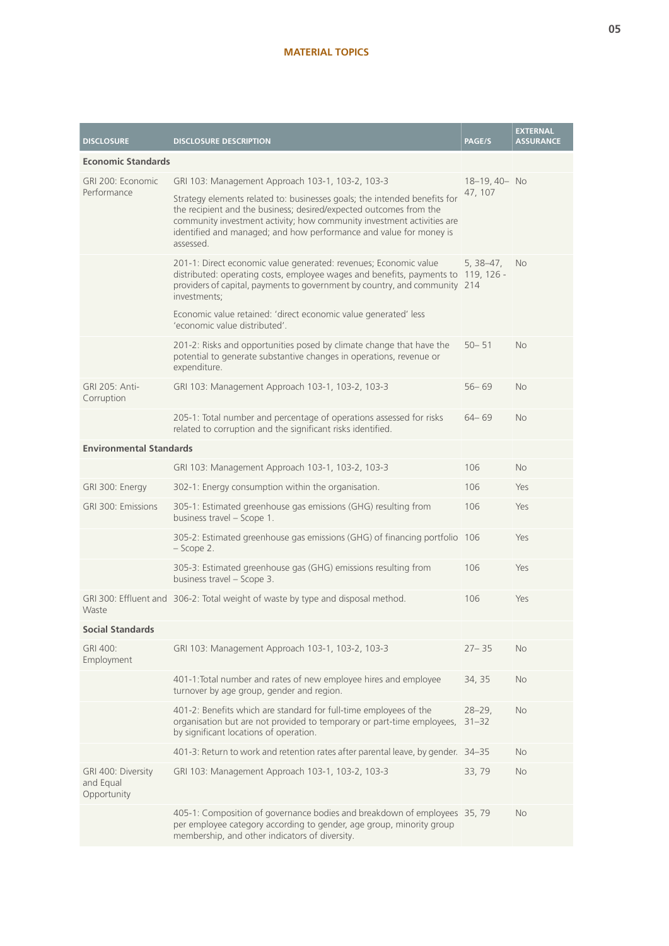## **MATERIAL TOPICS**

| <b>DISCLOSURE</b>                              | <b>DISCLOSURE DESCRIPTION</b>                                                                                                                                                                                                                                                                                | <b>PAGE/S</b>          | <b>EXTERNAL</b><br><b>ASSURANCE</b> |
|------------------------------------------------|--------------------------------------------------------------------------------------------------------------------------------------------------------------------------------------------------------------------------------------------------------------------------------------------------------------|------------------------|-------------------------------------|
| <b>Economic Standards</b>                      |                                                                                                                                                                                                                                                                                                              |                        |                                     |
| GRI 200: Economic<br>Performance               | GRI 103: Management Approach 103-1, 103-2, 103-3                                                                                                                                                                                                                                                             | 18-19, 40- No          |                                     |
|                                                | Strategy elements related to: businesses goals; the intended benefits for<br>the recipient and the business; desired/expected outcomes from the<br>community investment activity; how community investment activities are<br>identified and managed; and how performance and value for money is<br>assessed. | 47, 107                |                                     |
|                                                | 201-1: Direct economic value generated: revenues; Economic value<br>distributed: operating costs, employee wages and benefits, payments to 119, 126 -<br>providers of capital, payments to government by country, and community 214<br>investments;                                                          | $5, 38 - 47,$          | <b>No</b>                           |
|                                                | Economic value retained: 'direct economic value generated' less<br>'economic value distributed'.                                                                                                                                                                                                             |                        |                                     |
|                                                | 201-2: Risks and opportunities posed by climate change that have the<br>potential to generate substantive changes in operations, revenue or<br>expenditure.                                                                                                                                                  | $50 - 51$              | <b>No</b>                           |
| GRI 205: Anti-<br>Corruption                   | GRI 103: Management Approach 103-1, 103-2, 103-3                                                                                                                                                                                                                                                             | $56 - 69$              | <b>No</b>                           |
|                                                | 205-1: Total number and percentage of operations assessed for risks<br>related to corruption and the significant risks identified.                                                                                                                                                                           | $64 - 69$              | <b>No</b>                           |
| <b>Environmental Standards</b>                 |                                                                                                                                                                                                                                                                                                              |                        |                                     |
|                                                | GRI 103: Management Approach 103-1, 103-2, 103-3                                                                                                                                                                                                                                                             | 106                    | <b>No</b>                           |
| GRI 300: Energy                                | 302-1: Energy consumption within the organisation.                                                                                                                                                                                                                                                           | 106                    | Yes                                 |
| GRI 300: Emissions                             | 305-1: Estimated greenhouse gas emissions (GHG) resulting from<br>business travel - Scope 1.                                                                                                                                                                                                                 | 106                    | Yes                                 |
|                                                | 305-2: Estimated greenhouse gas emissions (GHG) of financing portfolio 106<br>$-$ Scope 2.                                                                                                                                                                                                                   |                        | Yes                                 |
|                                                | 305-3: Estimated greenhouse gas (GHG) emissions resulting from<br>business travel - Scope 3.                                                                                                                                                                                                                 | 106                    | Yes                                 |
| Waste                                          | GRI 300: Effluent and 306-2: Total weight of waste by type and disposal method.                                                                                                                                                                                                                              | 106                    | Yes                                 |
| <b>Social Standards</b>                        |                                                                                                                                                                                                                                                                                                              |                        |                                     |
| GRI 400:<br>Employment                         | GRI 103: Management Approach 103-1, 103-2, 103-3                                                                                                                                                                                                                                                             | $27 - 35$              | No                                  |
|                                                | 401-1: Total number and rates of new employee hires and employee<br>turnover by age group, gender and region.                                                                                                                                                                                                | 34, 35                 | No.                                 |
|                                                | 401-2: Benefits which are standard for full-time employees of the<br>organisation but are not provided to temporary or part-time employees,<br>by significant locations of operation.                                                                                                                        | $28 - 29$<br>$31 - 32$ | <b>No</b>                           |
|                                                | 401-3: Return to work and retention rates after parental leave, by gender. 34-35                                                                                                                                                                                                                             |                        | No.                                 |
| GRI 400: Diversity<br>and Equal<br>Opportunity | GRI 103: Management Approach 103-1, 103-2, 103-3                                                                                                                                                                                                                                                             | 33,79                  | <b>No</b>                           |
|                                                | 405-1: Composition of governance bodies and breakdown of employees 35, 79<br>per employee category according to gender, age group, minority group<br>membership, and other indicators of diversity.                                                                                                          |                        | No.                                 |